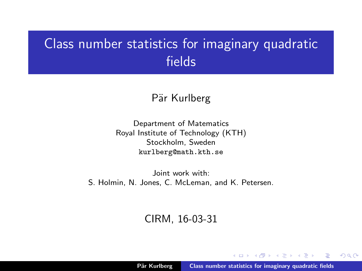## <span id="page-0-0"></span>Class number statistics for imaginary quadratic fields

#### Pär Kurlberg

Department of Matematics Royal Institute of Technology (KTH) Stockholm, Sweden kurlberg@math.kth.se

Joint work with: S. Holmin, N. Jones, C. McLeman, and K. Petersen.

#### CIRM, 16-03-31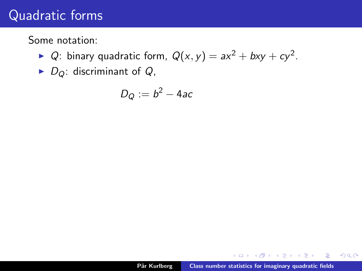Some notation:

- ▶ Q: binary quadratic form,  $Q(x, y) = ax^2 + bxy + cy^2$ .
- $\blacktriangleright$  D<sub>Q</sub>: discriminant of Q,

$$
D_Q:=b^2-4ac
$$

 $\sim$ 

 $\equiv$ 

 $\equiv$   $\rightarrow$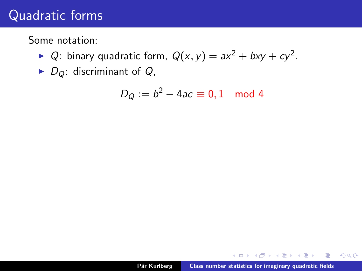Some notation:

- ▶ Q: binary quadratic form,  $Q(x, y) = ax^2 + bxy + cy^2$ .
- $\blacktriangleright$  D<sub>Q</sub>: discriminant of Q,

$$
D_Q:=b^2-4ac\equiv 0,1\mod 4
$$

A + + = +

重

na ⊞is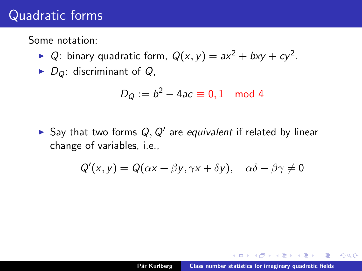Some notation:

- ▶ Q: binary quadratic form,  $Q(x, y) = ax^2 + bxy + cy^2$ .
- $\triangleright$  D<sub>Q</sub>: discriminant of Q,

$$
D_Q:=b^2-4ac\equiv 0,1\mod 4
$$

Say that two forms  $Q, Q'$  are equivalent if related by linear change of variables, i.e.,

$$
Q'(x, y) = Q(\alpha x + \beta y, \gamma x + \delta y), \quad \alpha \delta - \beta \gamma \neq 0
$$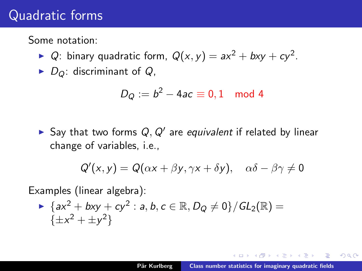Some notation:

- ▶ Q: binary quadratic form,  $Q(x, y) = ax^2 + bxy + cy^2$ .
- $\triangleright$  D<sub>Q</sub>: discriminant of Q,

$$
D_Q:=b^2-4ac\equiv 0,1\mod 4
$$

Say that two forms  $Q, Q'$  are equivalent if related by linear change of variables, i.e.,

$$
Q'(x,y) = Q(\alpha x + \beta y, \gamma x + \delta y), \quad \alpha \delta - \beta \gamma \neq 0
$$

Examples (linear algebra):

$$
\begin{aligned}\n &\quad \sum_{k=1}^{\infty} \{ax^2 + bxy + cy^2 : a, b, c \in \mathbb{R}, D_Q \neq 0\} / GL_2(\mathbb{R}) = \{ \pm x^2 + \pm y^2 \}\n\end{aligned}
$$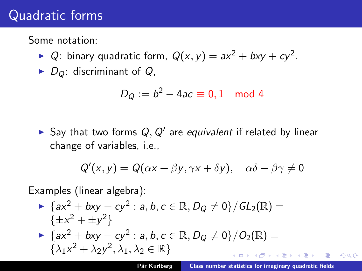Some notation:

- ▶ Q: binary quadratic form,  $Q(x, y) = ax^2 + bxy + cy^2$ .
- $\triangleright$  D<sub>Q</sub>: discriminant of Q,

$$
D_Q:=b^2-4ac\equiv 0,1\mod 4
$$

Say that two forms  $Q, Q'$  are equivalent if related by linear change of variables, i.e.,

$$
Q'(x,y) = Q(\alpha x + \beta y, \gamma x + \delta y), \quad \alpha \delta - \beta \gamma \neq 0
$$

Examples (linear algebra):

► {
$$
ax^2 + bxy + cy^2
$$
 :  $a, b, c \in \mathbb{R}, D_Q \neq 0$ }/ $GL_2(\mathbb{R})$  =  
{ $\pm x^2 + \pm y^2$ }  
▶ { $ax^2 + bxy + cy^2$  :  $a, b, c \in \mathbb{R}, D_Q \neq 0$ }/ $O_2(\mathbb{R})$  =  
{ $\lambda_1 x^2 + \lambda_2 y^2, \lambda_1, \lambda_2 \in \mathbb{R}$ }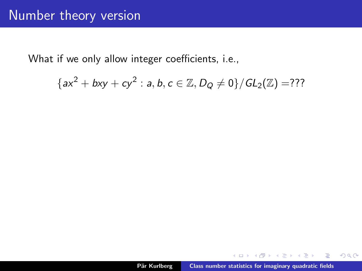$$
{ax2 + bxy + cy2 : a, b, c \in \mathbb{Z}, D_Q \neq 0}/GL_2(\mathbb{Z}) = ???
$$

 $298$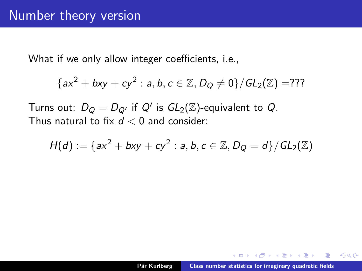$$
{ax2 + bxy + cy2 : a, b, c \in \mathbb{Z}, D_Q \neq 0}/GL_2(\mathbb{Z}) = ???
$$

Turns out:  $D_Q = D_{Q'}$  if  $Q'$  is  $GL_2(\mathbb{Z})$ -equivalent to  $Q$ . Thus natural to fix  $d < 0$  and consider:

$$
H(d) := \{ ax^2 + bxy + cy^2 : a, b, c \in \mathbb{Z}, D_Q = d \}/GL_2(\mathbb{Z})
$$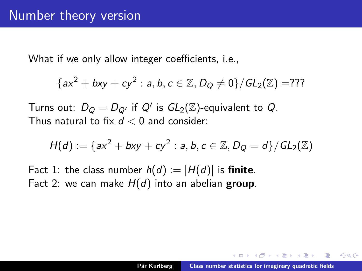$$
{ax2 + bxy + cy2 : a, b, c \in \mathbb{Z}, D_Q \neq 0}/GL_2(\mathbb{Z}) = ???
$$

Turns out:  $D_Q = D_{Q'}$  if  $Q'$  is  $GL_2(\mathbb{Z})$ -equivalent to  $Q$ . Thus natural to fix  $d < 0$  and consider:

$$
H(d) := \{ ax^2 + bxy + cy^2 : a, b, c \in \mathbb{Z}, D_Q = d \} / GL_2(\mathbb{Z})
$$

Fact 1: the class number  $h(d) := |H(d)|$  is finite. Fact 2: we can make  $H(d)$  into an abelian group.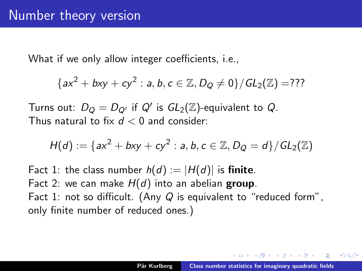$$
{ax2 + bxy + cy2 : a, b, c \in \mathbb{Z}, D_Q \neq 0}/GL_2(\mathbb{Z}) = ???
$$

Turns out:  $D_Q = D_{Q'}$  if  $Q'$  is  $GL_2(\mathbb{Z})$ -equivalent to  $Q$ . Thus natural to fix  $d < 0$  and consider:

$$
H(d) := \{ ax^2 + bxy + cy^2 : a, b, c \in \mathbb{Z}, D_Q = d \} / GL_2(\mathbb{Z})
$$

Fact 1: the class number  $h(d) := |H(d)|$  is finite. Fact 2: we can make  $H(d)$  into an abelian group. Fact 1: not so difficult. (Any  $Q$  is equivalent to "reduced form", only finite number of reduced ones.)

へのへ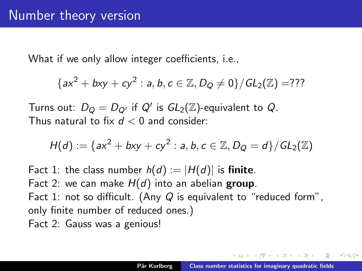$$
{ax2 + bxy + cy2 : a, b, c \in \mathbb{Z}, D_Q \neq 0}/GL_2(\mathbb{Z}) = ???
$$

Turns out:  $D_Q = D_{Q'}$  if  $Q'$  is  $GL_2(\mathbb{Z})$ -equivalent to  $Q$ . Thus natural to fix  $d < 0$  and consider:

$$
H(d) := \{ ax^2 + bxy + cy^2 : a, b, c \in \mathbb{Z}, D_Q = d \} / GL_2(\mathbb{Z})
$$

Fact 1: the class number  $h(d) := |H(d)|$  is finite. Fact 2: we can make  $H(d)$  into an abelian group. Fact 1: not so difficult. (Any  $Q$  is equivalent to "reduced form", only finite number of reduced ones.) Fact 2: Gauss was a genious!

へのへ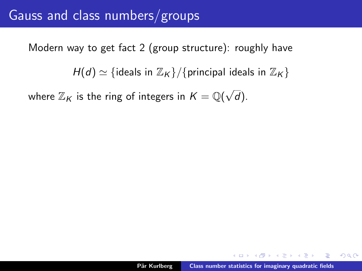$H(d) \simeq \{$ ideals in  $\mathbb{Z}_K \}/\{$ principal ideals in  $\mathbb{Z}_K \}$ 

where  $\mathbb{Z}_K$  is the ring of integers in  $K = \mathbb{Q}(\sqrt{2})$ d).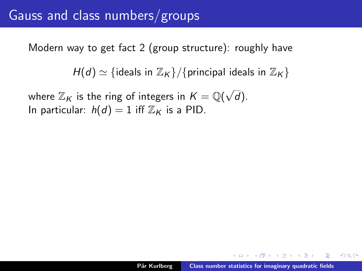$H(d) \simeq \{$  ideals in  $\mathbb{Z}_K \}/\{$  principal ideals in  $\mathbb{Z}_K \}$ 

where  $\mathbb{Z}_K$  is the ring of integers in  $K = \mathbb{Q}(\sqrt{2})$ d). In particular:  $h(d) = 1$  iff  $\mathbb{Z}_K$  is a PID.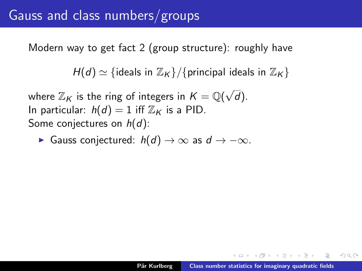$H(d) \simeq \{$ ideals in  $\mathbb{Z}_K \}/\{$ principal ideals in  $\mathbb{Z}_K \}$ 

where  $\mathbb{Z}_K$  is the ring of integers in  $K = \mathbb{Q}(\sqrt{2})$ d). In particular:  $h(d) = 1$  iff  $\mathbb{Z}_K$  is a PID. Some conjectures on  $h(d)$ :

 $\triangleright$  Gauss conjectured:  $h(d) \to \infty$  as  $d \to -\infty$ .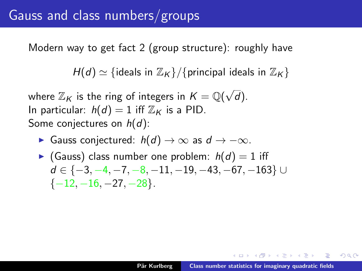$H(d) \simeq \{$ ideals in  $\mathbb{Z}_K \} / \{$ principal ideals in  $\mathbb{Z}_K \}$ 

where  $\mathbb{Z}_K$  is the ring of integers in  $K = \mathbb{Q}(\sqrt{2})$ d). In particular:  $h(d) = 1$  iff  $\mathbb{Z}_K$  is a PID. Some conjectures on  $h(d)$ :

- $\triangleright$  Gauss conjectured:  $h(d) \to \infty$  as  $d \to -\infty$ .
- Gauss) class number one problem:  $h(d) = 1$  iff  $d \in \{-3, -4, -7, -8, -11, -19, -43, -67, -163\}$  ∪  $\{-12, -16, -27, -28\}.$

AD - 4 E - 4 E -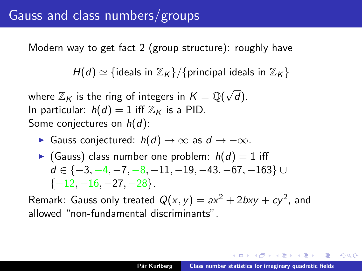$H(d) \simeq \{$ ideals in  $\mathbb{Z}_K \} / \{$ principal ideals in  $\mathbb{Z}_K \}$ 

where  $\mathbb{Z}_K$  is the ring of integers in  $K = \mathbb{Q}(\sqrt{2})$ d). In particular:  $h(d) = 1$  iff  $\mathbb{Z}_K$  is a PID. Some conjectures on  $h(d)$ :

 $\triangleright$  Gauss conjectured:  $h(d) \to \infty$  as  $d \to -\infty$ .

Gauss) class number one problem:  $h(d) = 1$  iff  $d \in \{-3, -4, -7, -8, -11, -19, -43, -67, -163\}$  ∪  $\{-12, -16, -27, -28\}.$ 

Remark: Gauss only treated  $Q(x, y) = ax^2 + 2bxy + cy^2$ , and allowed "non-fundamental discriminants".

イ押 トライモ トラモト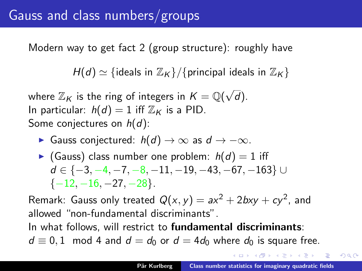$H(d) \simeq \{$  ideals in  $\mathbb{Z}_K \}/\{$  principal ideals in  $\mathbb{Z}_K \}$ 

where  $\mathbb{Z}_K$  is the ring of integers in  $K = \mathbb{Q}(\sqrt{2})$ d). In particular:  $h(d) = 1$  iff  $\mathbb{Z}_K$  is a PID. Some conjectures on  $h(d)$ :

 $\triangleright$  Gauss conjectured:  $h(d) \to \infty$  as  $d \to -\infty$ .

Gauss) class number one problem:  $h(d) = 1$  iff  $d \in \{-3, -4, -7, -8, -11, -19, -43, -67, -163\}$  ∪  $\{-12, -16, -27, -28\}.$ 

Remark: Gauss only treated  $Q(x, y) = ax^2 + 2bxy + cy^2$ , and allowed "non-fundamental discriminants". In what follows, will restrict to **fundamental discriminants**:

 $d \equiv 0, 1 \mod 4$  and  $d = d_0$  or  $d = 4d_0$  where  $d_0$  is square free.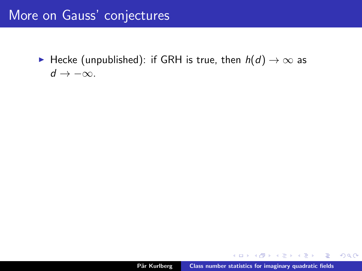► Hecke (unpublished): if GRH is true, then  $h(d) \rightarrow \infty$  as  $d \rightarrow -\infty$ .

 $\left\{ \begin{array}{c} 1 \end{array} \right.$ 

 $\left\{ \begin{array}{c} 1 \end{array} \right.$ 

 $298$ 

重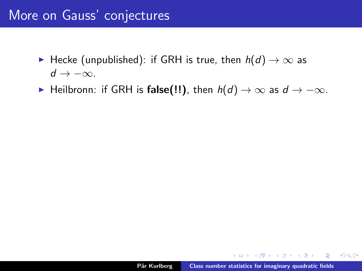### More on Gauss' conjectures

- ► Hecke (unpublished): if GRH is true, then  $h(d) \rightarrow \infty$  as  $d \rightarrow -\infty$ .
- ► Heilbronn: if GRH is false(!!), then  $h(d) \to \infty$  as  $d \to -\infty$ .

in a month of the same that

 $298$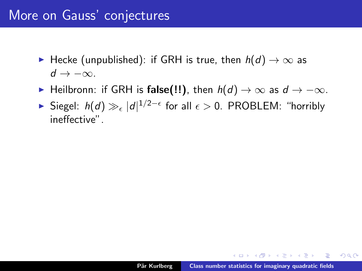### More on Gauss' conjectures

- $\blacktriangleright$  Hecke (unpublished): if GRH is true, then  $h(d) \rightarrow \infty$  as  $d \rightarrow -\infty$ .
- ► Heilbronn: if GRH is false(!!), then  $h(d) \to \infty$  as  $d \to -\infty$ .
- ► Siegel:  $h(d) \gg_{\epsilon} |d|^{1/2-\epsilon}$  for all  $\epsilon > 0$ . PROBLEM: "horribly ineffective".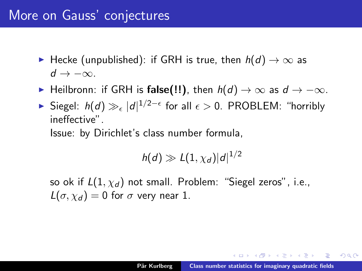- ► Hecke (unpublished): if GRH is true, then  $h(d) \rightarrow \infty$  as  $d \rightarrow -\infty$ .
- ► Heilbronn: if GRH is false(!!), then  $h(d) \to \infty$  as  $d \to -\infty$ .
- ► Siegel:  $h(d) \gg_{\epsilon} |d|^{1/2-\epsilon}$  for all  $\epsilon > 0$ . PROBLEM: "horribly ineffective".

Issue: by Dirichlet's class number formula,

$$
h(d) \gg L(1, \chi_d) |d|^{1/2}
$$

so ok if  $L(1, \chi_d)$  not small. Problem: "Siegel zeros", i.e.,  $L(\sigma, \chi_d) = 0$  for  $\sigma$  very near 1.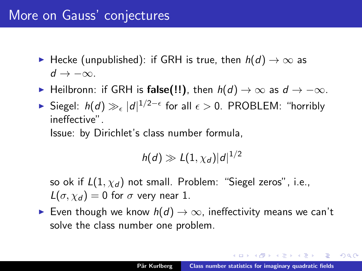- $\blacktriangleright$  Hecke (unpublished): if GRH is true, then  $h(d) \rightarrow \infty$  as  $d \rightarrow -\infty$ .
- ► Heilbronn: if GRH is false(!!), then  $h(d) \to \infty$  as  $d \to -\infty$ .
- ► Siegel:  $h(d) \gg_{\epsilon} |d|^{1/2-\epsilon}$  for all  $\epsilon > 0$ . PROBLEM: "horribly ineffective".

Issue: by Dirichlet's class number formula,

$$
h(d) \gg L(1, \chi_d) |d|^{1/2}
$$

so ok if  $L(1, \chi_d)$  not small. Problem: "Siegel zeros", i.e.,  $L(\sigma, \chi_d) = 0$  for  $\sigma$  very near 1.

► Even though we know  $h(d) \rightarrow \infty$ , ineffectivity means we can't solve the class number one problem.

 $4.50 \times 4.70 \times 4.70 \times$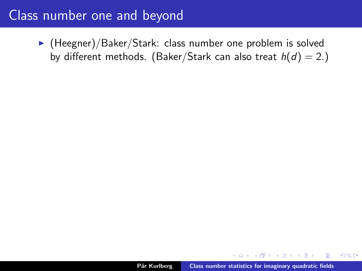$\blacktriangleright$  (Heegner)/Baker/Stark: class number one problem is solved by different methods. (Baker/Stark can also treat  $h(d) = 2$ .)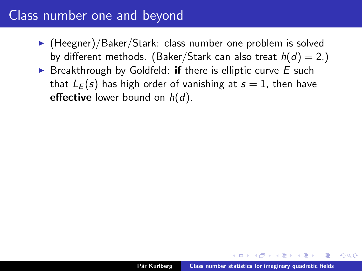- $\blacktriangleright$  (Heegner)/Baker/Stark: class number one problem is solved by different methods. (Baker/Stark can also treat  $h(d) = 2$ .)
- $\triangleright$  Breakthrough by Goldfeld: if there is elliptic curve E such that  $L_F(s)$  has high order of vanishing at  $s = 1$ , then have effective lower bound on  $h(d)$ .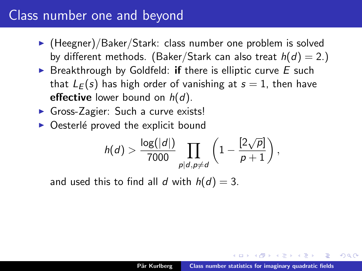- $\blacktriangleright$  (Heegner)/Baker/Stark: class number one problem is solved by different methods. (Baker/Stark can also treat  $h(d) = 2$ .)
- $\triangleright$  Breakthrough by Goldfeld: if there is elliptic curve E such that  $L_F(s)$  has high order of vanishing at  $s = 1$ , then have effective lower bound on  $h(d)$ .
- $\triangleright$  Gross-Zagier: Such a curve exists!
- $\triangleright$  Oesterlé proved the explicit bound

$$
h(d) > \frac{\log(|d|)}{7000} \prod_{p|d, p \neq d} \left(1 - \frac{[2\sqrt{p}]}{p+1}\right),
$$

and used this to find all d with  $h(d) = 3$ .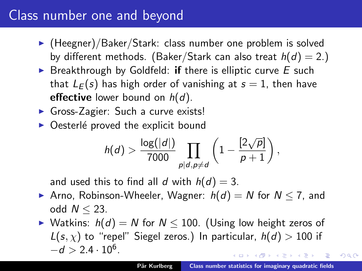- $\blacktriangleright$  (Heegner)/Baker/Stark: class number one problem is solved by different methods. (Baker/Stark can also treat  $h(d) = 2$ .)
- $\triangleright$  Breakthrough by Goldfeld: if there is elliptic curve E such that  $L_F(s)$  has high order of vanishing at  $s = 1$ , then have effective lower bound on  $h(d)$ .
- $\triangleright$  Gross-Zagier: Such a curve exists!
- $\triangleright$  Oesterlé proved the explicit bound

$$
h(d) > \frac{\log(|d|)}{7000} \prod_{p|d, p \neq d} \left(1 - \frac{[2\sqrt{p}]}{p+1}\right),
$$

and used this to find all d with  $h(d) = 3$ .

- Arno, Robinson-Wheeler, Wagner:  $h(d) = N$  for  $N \le 7$ , and odd  $N \leq 23$ .
- ▶ Watkins:  $h(d) = N$  for  $N \le 100$ . (Using low height zeros of  $L(s, \chi)$  to "repel" Siegel zeros.) In particular,  $h(d) > 100$  if  $-d > 2.4 \cdot 10^6$ .

へのへ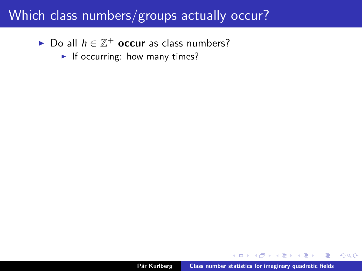► Do all  $h \in \mathbb{Z}^+$  occur as class numbers?

If occurring: how many times?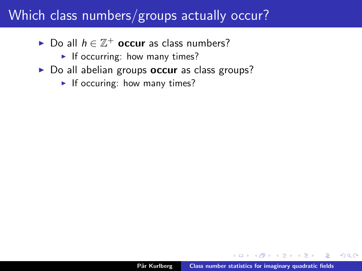- ► Do all  $h \in \mathbb{Z}^+$  occur as class numbers?
	- If occurring: how many times?
- $\triangleright$  Do all abelian groups **occur** as class groups?
	- If occuring: how many times?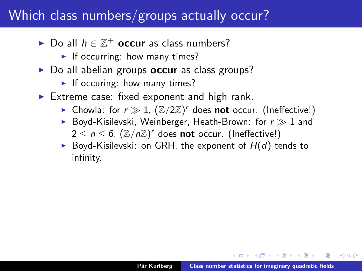- ► Do all  $h \in \mathbb{Z}^+$  occur as class numbers?
	- If occurring: how many times?
- $\triangleright$  Do all abelian groups **occur** as class groups?
	- If occuring: how many times?
- Extreme case: fixed exponent and high rank.
	- ▶ Chowla: for  $r \gg 1$ ,  $(\mathbb{Z}/2\mathbb{Z})^r$  does not occur. (Ineffective!)
	- Bovd-Kisilevski, Weinberger, Heath-Brown: for  $r \gg 1$  and  $2 \leq n \leq 6$ ,  $(\mathbb{Z}/n\mathbb{Z})^r$  does not occur. (Ineffective!)
	- Boyd-Kisilevski: on GRH, the exponent of  $H(d)$  tends to infinity.

へのへ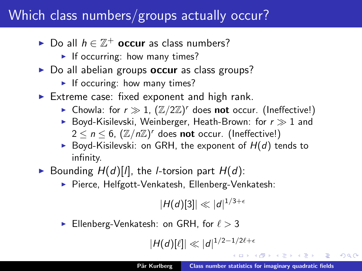- ► Do all  $h \in \mathbb{Z}^+$  occur as class numbers?
	- If occurring: how many times?
- $\triangleright$  Do all abelian groups **occur** as class groups?
	- If occuring: how many times?
- Extreme case: fixed exponent and high rank.
	- ▶ Chowla: for  $r \gg 1$ ,  $(\mathbb{Z}/2\mathbb{Z})^r$  does not occur. (Ineffective!)
	- Boyd-Kisilevski, Weinberger, Heath-Brown: for  $r \gg 1$  and  $2 \leq n \leq 6$ ,  $(\mathbb{Z}/n\mathbb{Z})^r$  does not occur. (Ineffective!)
	- Boyd-Kisilevski: on GRH, the exponent of  $H(d)$  tends to infinity.
- Bounding  $H(d)[l]$ , the *l*-torsion part  $H(d)$ :
	- ▶ Pierce, Helfgott-Venkatesh, Ellenberg-Venkatesh:

 $|H(d)[3]| \ll |d|^{1/3+\epsilon}$ 

Ellenberg-Venkatesh: on GRH, for  $\ell > 3$ 

 $|H(d)[\ell]| \ll |d|^{1/2-1/2\ell+\epsilon}$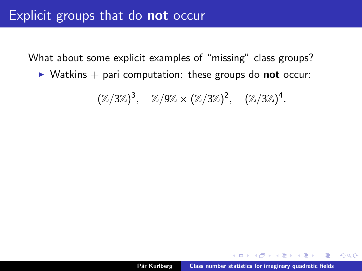$\triangleright$  Watkins  $+$  pari computation: these groups do **not** occur:

 $(\mathbb{Z}/3\mathbb{Z})^3$ ,  $\mathbb{Z}/9\mathbb{Z} \times (\mathbb{Z}/3\mathbb{Z})^2$ ,  $(\mathbb{Z}/3\mathbb{Z})^4$ .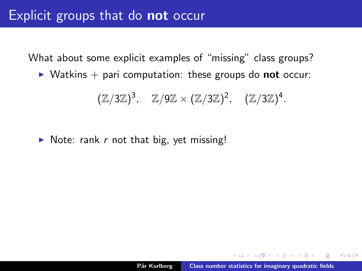$\triangleright$  Watkins  $+$  pari computation: these groups do **not** occur:

$$
(\mathbb{Z}/3\mathbb{Z})^3
$$
,  $\mathbb{Z}/9\mathbb{Z} \times (\mathbb{Z}/3\mathbb{Z})^2$ ,  $(\mathbb{Z}/3\mathbb{Z})^4$ .

 $\triangleright$  Note: rank r not that big, yet missing!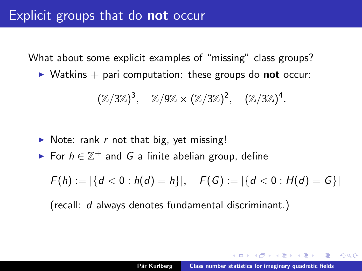$\triangleright$  Watkins  $+$  pari computation: these groups do **not** occur:

$$
(\mathbb{Z}/3\mathbb{Z})^3, \quad \mathbb{Z}/9\mathbb{Z} \times (\mathbb{Z}/3\mathbb{Z})^2, \quad (\mathbb{Z}/3\mathbb{Z})^4.
$$

- $\triangleright$  Note: rank r not that big, yet missing!
- For  $h \in \mathbb{Z}^+$  and G a finite abelian group, define

 $F(h) := |\{d < 0 : h(d) = h\}|, \quad F(G) := |\{d < 0 : H(d) = G\}|$ 

(recall: d always denotes fundamental discriminant.)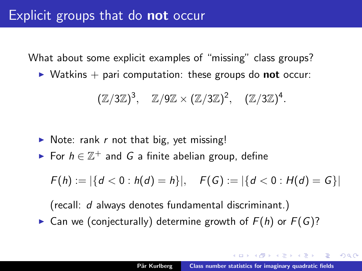$\triangleright$  Watkins  $+$  pari computation: these groups do **not** occur:

$$
(\mathbb{Z}/3\mathbb{Z})^3, \quad \mathbb{Z}/9\mathbb{Z} \times (\mathbb{Z}/3\mathbb{Z})^2, \quad (\mathbb{Z}/3\mathbb{Z})^4.
$$

- $\triangleright$  Note: rank r not that big, yet missing!
- For  $h \in \mathbb{Z}^+$  and G a finite abelian group, define

 $F(h) := |\{d < 0 : h(d) = h\}|, \quad F(G) := |\{d < 0 : H(d) = G\}|$ 

(recall: d always denotes fundamental discriminant.) **Can we (conjecturally) determine growth of**  $F(h)$  **or**  $F(G)$ **?**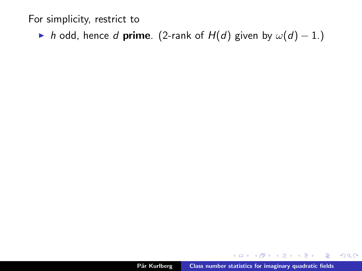For simplicity, restrict to

 $\triangleright$  h odd, hence d prime. (2-rank of H(d) given by  $\omega(d) - 1$ .)

A  $\sim$  $\left\{ \begin{array}{c} 1 \end{array} \right.$  重

ia ⊞is

 $298$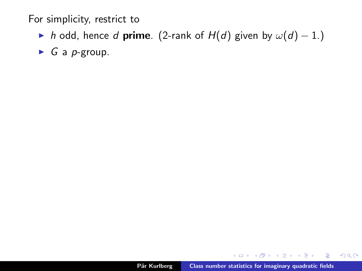For simplicity, restrict to

 $\triangleright$  h odd, hence d **prime**. (2-rank of  $H(d)$  given by  $\omega(d) - 1$ .)

 $\triangleright$  G a p-group.

重

AD - 4 E - 4 E -

 $298$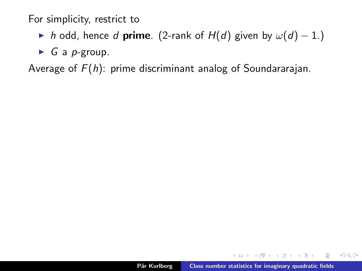For simplicity, restrict to

- $\triangleright$  h odd, hence d **prime**. (2-rank of  $H(d)$  given by  $\omega(d) 1$ .)
- $\triangleright$  G a p-group.

Average of  $F(h)$ : prime discriminant analog of Soundararajan.

 $2Q$ 

后

in the second property of the second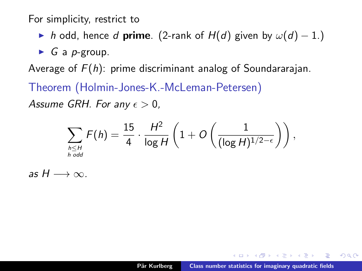For simplicity, restrict to

- $\triangleright$  h odd, hence d **prime**. (2-rank of  $H(d)$  given by  $\omega(d) 1$ .)
- $\triangleright$  G a p-group.

Average of  $F(h)$ : prime discriminant analog of Soundararajan.

Theorem (Holmin-Jones-K.-McLeman-Petersen) Assume GRH. For any  $\epsilon > 0$ ,

$$
\sum_{h \leq H \atop h \text{ odd}} F(h) = \frac{15}{4} \cdot \frac{H^2}{\log H} \left( 1 + O\left( \frac{1}{(\log H)^{1/2 - \epsilon}} \right) \right),
$$

as  $H \longrightarrow \infty$ .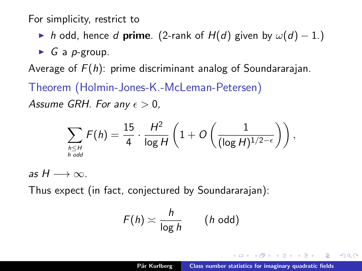<span id="page-38-0"></span>For simplicity, restrict to

- $\triangleright$  h odd, hence d **prime**. (2-rank of  $H(d)$  given by  $\omega(d) 1$ .)
- $\triangleright$  G a p-group.

Average of  $F(h)$ : prime discriminant analog of Soundararajan.

Theorem (Holmin-Jones-K.-McLeman-Petersen) Assume GRH. For any  $\epsilon > 0$ ,

$$
\sum_{h \leq H \atop h \text{ odd}} F(h) = \frac{15}{4} \cdot \frac{H^2}{\log H} \left( 1 + O\left( \frac{1}{(\log H)^{1/2 - \epsilon}} \right) \right),
$$

as  $H \longrightarrow \infty$ .

Thus expect (in fact, conjectured by Soundararajan):

$$
F(h) \asymp \frac{h}{\log h} \qquad (h \text{ odd})
$$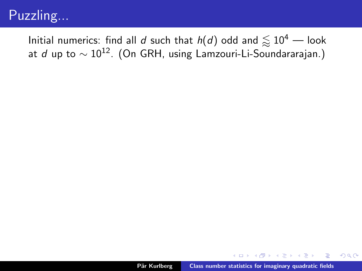<span id="page-39-0"></span>Initial numerics: find all d such that  $h(d)$  odd and  $\lesssim 10^4$  — look at d up to  $\sim 10^{12}$ . (On GRH, using Lamzouri-Li-Soundararajan.)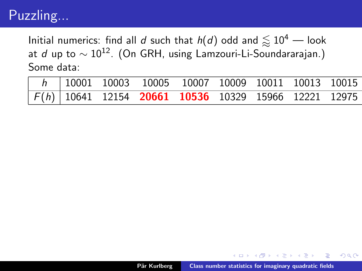Initial numerics: find all d such that  $h(d)$  odd and  $\lesssim 10^4$  — look at d up to  $\sim 10^{12}$ . (On GRH, using Lamzouri-Li-Soundararajan.) Some data:

|  |  | $\sqrt{h}$ 10001 10003 10005 10007 10009 10011 10013 10015 |  |  |
|--|--|------------------------------------------------------------|--|--|
|  |  | $F(h)$ 10641 12154 20661 10536 10329 15966 12221 12975     |  |  |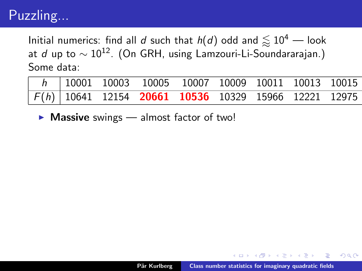Initial numerics: find all d such that  $h(d)$  odd and  $\lesssim 10^4$  — look at d up to  $\sim 10^{12}$ . (On GRH, using Lamzouri-Li-Soundararajan.) Some data:

|  |  | $h$ 10001 10003 10005 10007 10009 10011 10013 10015    |  |  |
|--|--|--------------------------------------------------------|--|--|
|  |  | $F(h)$ 10641 12154 20661 10536 10329 15966 12221 12975 |  |  |

 $\triangleright$  Massive swings — almost factor of two!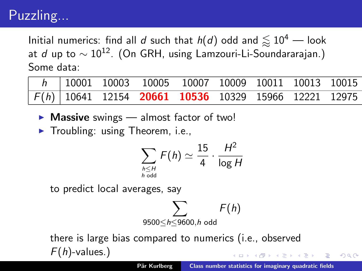<span id="page-42-0"></span>Initial numerics: find all d such that  $h(d)$  odd and  $\lesssim 10^4$  — look at d up to  $\sim 10^{12}$ . (On GRH, using Lamzouri-Li-Soundararajan.) Some data:

|  |  | h   10001 10003 10005 10007 10009 10011 10013 10015    |  |  |
|--|--|--------------------------------------------------------|--|--|
|  |  | $F(h)$ 10641 12154 20661 10536 10329 15966 12221 12975 |  |  |

- $\triangleright$  Massive swings almost factor of two!
- $\blacktriangleright$  Troubling: using Theorem, i.e.,

$$
\sum_{h \leq H \atop h \text{ odd}} F(h) \simeq \frac{15}{4} \cdot \frac{H^2}{\log H}
$$

to predict local averages, say



there is large bias compared to numerics (i.e., observed  $F(h)$ -values.)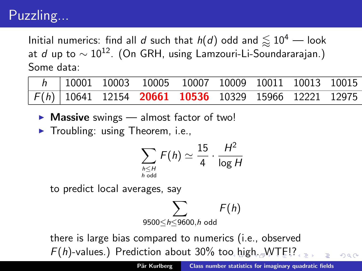<span id="page-43-0"></span>Initial numerics: find all d such that  $h(d)$  odd and  $\lesssim 10^4$  — look at d up to  $\sim 10^{12}$ . (On GRH, using Lamzouri-Li-Soundararajan.) Some data:

|  | $h$ 10001 10003 10005 10007 10009 10011 10013 10015    |  |  |  |
|--|--------------------------------------------------------|--|--|--|
|  | $F(h)$ 10641 12154 20661 10536 10329 15966 12221 12975 |  |  |  |

- $\triangleright$  Massive swings almost factor of two!
- $\blacktriangleright$  Troubling: using Theorem, i.e.,

$$
\sum_{h \leq H \atop h \text{ odd}} F(h) \simeq \frac{15}{4} \cdot \frac{H^2}{\log H}
$$

to predict local averages, say

$$
\sum_{9500\leq h\leq 9600, h \text{ odd}} F(h)
$$

there is large bias compared to numerics (i.e., observed  $F(h)$  $F(h)$  $F(h)$ -values.) Prediction about 30% to[o h](#page-42-0)[ig](#page-44-0)h[.](#page-39-0)[W](#page-44-0)[T](#page-0-0)E!?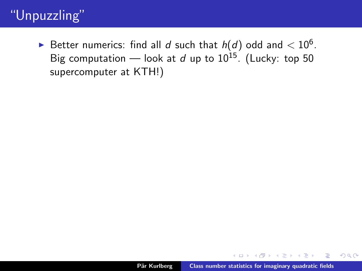<span id="page-44-0"></span> $\blacktriangleright$  Better numerics: find all  $d$  such that  $h(d)$  odd and  $< 10^6.$ Big computation — look at d up to  $10^{15}$ . (Lucky: top 50 supercomputer at KTH!)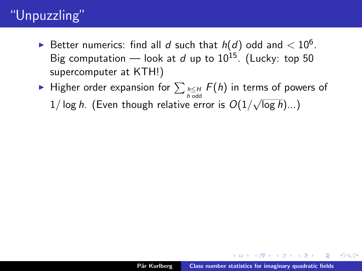- $\blacktriangleright$  Better numerics: find all  $d$  such that  $h(d)$  odd and  $< 10^6.$ Big computation — look at d up to  $10^{15}$ . (Lucky: top 50 supercomputer at KTH!)
- ► Higher order expansion for  $\sum_{h \leq H \atop h \text{ odd}} F(h)$  in terms of powers of  $1/\log h$ . (Even though relative error is  $O(1/\sqrt{\log h})... )$ √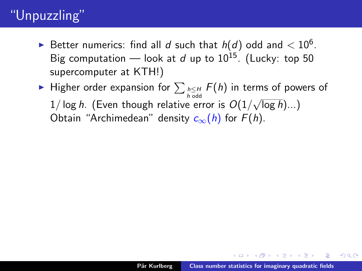- $\blacktriangleright$  Better numerics: find all  $d$  such that  $h(d)$  odd and  $< 10^6.$ Big computation — look at d up to  $10^{15}$ . (Lucky: top 50 supercomputer at KTH!)
- ► Higher order expansion for  $\sum_{h \leq H \atop h \text{ odd}} F(h)$  in terms of powers of  $1/\log h$ . (Even though relative error is  $O(1/\sqrt{\log h})... )$ √ Obtain "Archimedean" density  $c_{\infty}(h)$  for  $F(h)$ .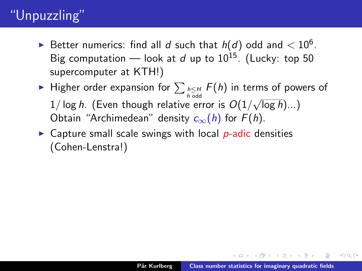- $\blacktriangleright$  Better numerics: find all  $d$  such that  $h(d)$  odd and  $< 10^6.$ Big computation — look at d up to  $10^{15}$ . (Lucky: top 50 supercomputer at KTH!)
- ► Higher order expansion for  $\sum_{h \leq H \atop h \text{ odd}} F(h)$  in terms of powers of  $1/\log h$ . (Even though relative error is  $O(1/\sqrt{\log h})... )$ √ Obtain "Archimedean" density  $c_{\infty}(h)$  for  $F(h)$ .
- $\triangleright$  Capture small scale swings with local *p*-adic densities (Cohen-Lenstra!)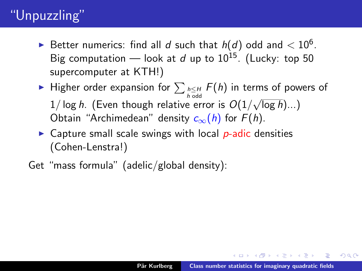- $\blacktriangleright$  Better numerics: find all  $d$  such that  $h(d)$  odd and  $< 10^6.$ Big computation — look at d up to  $10^{15}$ . (Lucky: top 50 supercomputer at KTH!)
- ► Higher order expansion for  $\sum_{h \leq H \atop h \text{ odd}} F(h)$  in terms of powers of  $1/\log h$ . (Even though relative error is  $O(1/\sqrt{\log h})... )$ √ Obtain "Archimedean" density  $c_{\infty}(h)$  for  $F(h)$ .
- $\triangleright$  Capture small scale swings with local *p*-adic densities (Cohen-Lenstra!)
- Get "mass formula" (adelic/global density):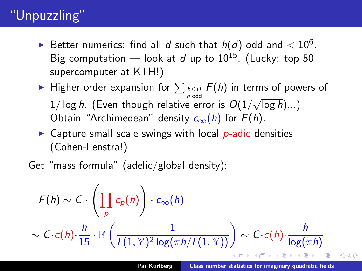- $\blacktriangleright$  Better numerics: find all  $d$  such that  $h(d)$  odd and  $< 10^6.$ Big computation — look at d up to  $10^{15}$ . (Lucky: top 50 supercomputer at KTH!)
- ► Higher order expansion for  $\sum_{h \leq H \atop h \text{ odd}} F(h)$  in terms of powers of  $1/\log h$ . (Even though relative error is  $O(1/\sqrt{\log h})... )$ √ Obtain "Archimedean" density  $c_{\infty}(h)$  for  $F(h)$ .
- $\triangleright$  Capture small scale swings with local *p*-adic densities (Cohen-Lenstra!)

Get "mass formula" (adelic/global density):

$$
F(h) \sim C \cdot \left(\prod_p c_p(h)\right) \cdot c_{\infty}(h)
$$
  
 
$$
\sim C \cdot c(h) \cdot \frac{h}{15} \cdot \mathbb{E}\left(\frac{1}{L(1, \mathbb{Y})^2 \log(\pi h / L(1, \mathbb{Y}))}\right) \sim C \cdot c(h) \cdot \frac{h}{\log(\pi h)}
$$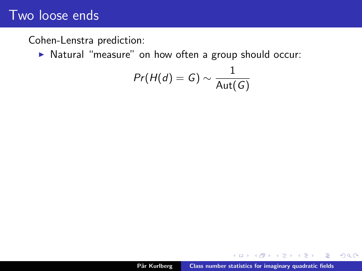Cohen-Lenstra prediction:

In Natural "measure" on how often a group should occur:

$$
\mathit{Pr}(H(d) = G) \sim \frac{1}{\mathsf{Aut}(G)}
$$

 $\sim$ 重  $299$ 

Ξ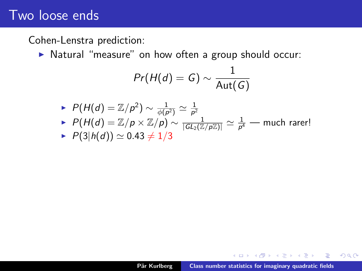Cohen-Lenstra prediction:

In Natural "measure" on how often a group should occur:

$$
Pr(H(d) = G) \sim \frac{1}{\mathsf{Aut}(G)}
$$

\n- $$
P(H(d) = \mathbb{Z}/p^2) \sim \frac{1}{\phi(p^2)} \simeq \frac{1}{p^2}
$$
\n- $P(H(d) = \mathbb{Z}/p \times \mathbb{Z}/p) \sim \frac{1}{|GL_2(\mathbb{Z}/p\mathbb{Z})|} \simeq \frac{1}{p^4}$  — much rare!
\n- $P(3|h(d)) \simeq 0.43 \neq 1/3$
\n

 $\sim$ 重  $299$ 

Ξ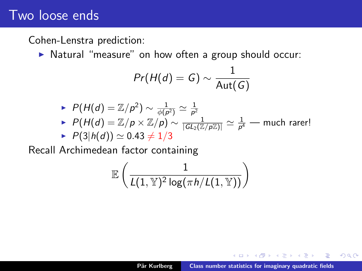#### Cohen-Lenstra prediction:

▶ Natural "measure" on how often a group should occur:

$$
Pr(H(d) = G) \sim \frac{1}{\text{Aut}(G)}
$$

\n- $$
\mathcal{P}(H(d) = \mathbb{Z}/p^2) \sim \frac{1}{\phi(p^2)} \simeq \frac{1}{p^2}
$$
\n- $\mathcal{P}(H(d) = \mathbb{Z}/p \times \mathbb{Z}/p) \sim \frac{1}{|GL_2(\mathbb{Z}/p\mathbb{Z})|} \simeq \frac{1}{p^4}$  — much rarer!
\n- $\mathcal{P}(3|h(d)) \simeq 0.43 \neq 1/3$
\n

Recall Archimedean factor containing

$$
\mathbb{E}\left(\frac{1}{L(1,\mathbb{Y})^2\log(\pi h/L(1,\mathbb{Y}))}\right)
$$

 $\equiv$   $\rightarrow$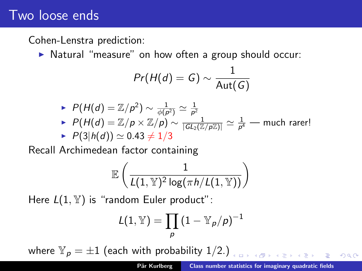#### Cohen-Lenstra prediction:

▶ Natural "measure" on how often a group should occur:

$$
Pr(H(d) = G) \sim \frac{1}{\mathsf{Aut}(G)}
$$

\n- $$
P(H(d) = \mathbb{Z}/p^2) \sim \frac{1}{\phi(p^2)} \simeq \frac{1}{p^2}
$$
\n- $P(H(d) = \mathbb{Z}/p \times \mathbb{Z}/p) \sim \frac{1}{|GL_2(\mathbb{Z}/p\mathbb{Z})|} \simeq \frac{1}{p^4}$  — much rarer!
\n- $P(3|h(d)) \simeq 0.43 \neq 1/3$
\n

Recall Archimedean factor containing

$$
\mathbb{E}\left(\frac{1}{L(1,\mathbb{Y})^2\log(\pi h/L(1,\mathbb{Y}))}\right)
$$

Here  $L(1, Y)$  is "random Euler product":

$$
L(1,\mathbb{Y})=\prod_{\rho}\left(1-\mathbb{Y}_{\rho}/\rho\right)^{-1}
$$

where  $\mathbb{Y}_p = \pm 1$  (each with probability 1/2.)

 $\Rightarrow$   $\Rightarrow$   $\Rightarrow$   $\circ$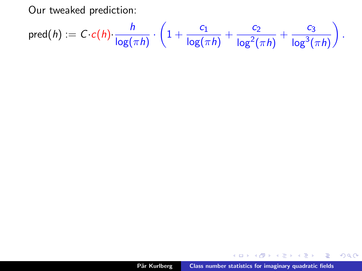Our tweaked prediction:

$$
\mathsf{pred}(h) := C \cdot c(h) \cdot \frac{h}{\log(\pi h)} \cdot \left(1 + \frac{c_1}{\log(\pi h)} + \frac{c_2}{\log^2(\pi h)} + \frac{c_3}{\log^3(\pi h)}\right).
$$

メロメメ 御き メミメメ ミト

 $299$ 

重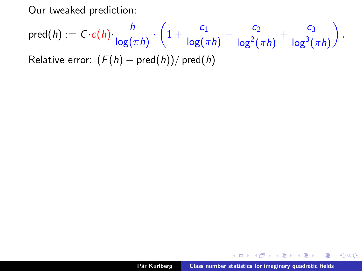Our tweaked prediction:

$$
\mathsf{pred}(h) := C \cdot c(h) \cdot \frac{h}{\log(\pi h)} \cdot \left(1 + \frac{c_1}{\log(\pi h)} + \frac{c_2}{\log^2(\pi h)} + \frac{c_3}{\log^3(\pi h)}\right).
$$

Relative error:  $(F(h) - pred(h))/ pred(h)$ 

A  $\sim$  - 4 后 8 - 4 后 8

重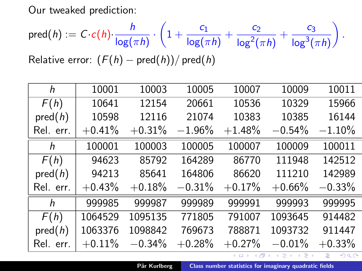Our tweaked prediction:

$$
\text{pred}(h) := C \cdot c(h) \cdot \frac{h}{\log(\pi h)} \cdot \left(1 + \frac{c_1}{\log(\pi h)} + \frac{c_2}{\log^2(\pi h)} + \frac{c_3}{\log^3(\pi h)}\right).
$$

Relative error:  $(F(h) - pred(h))/ pred(h)$ 

| h         | 10001    | 10003    | 10005     | 10007    | 10009                | 10011    |
|-----------|----------|----------|-----------|----------|----------------------|----------|
| F(h)      | 10641    | 12154    | 20661     | 10536    | 10329                | 15966    |
| pred(h)   | 10598    | 12116    | 21074     | 10383    | 10385                | 16144    |
| Rel. err. | $+0.41%$ | $+0.31%$ | $-1.96\%$ | $+1.48%$ | $-0.54%$             | $-1.10%$ |
| h         | 100001   | 100003   | 100005    | 100007   | 100009               | 100011   |
| F(h)      | 94623    | 85792    | 164289    | 86770    | 111948               | 142512   |
| pred(h)   | 94213    | 85641    | 164806    | 86620    | 111210               | 142989   |
| Rel. err. | $+0.43%$ | $+0.18%$ | $-0.31%$  | $+0.17%$ | $+0.66%$             | $-0.33%$ |
| h         | 999985   | 999987   | 999989    | 999991   | 999993               | 999995   |
| F(h)      | 1064529  | 1095135  | 771805    | 791007   | 1093645              | 914482   |
| pred(h)   | 1063376  | 1098842  | 769673    | 788871   | 1093732              | 911447   |
| Rel. err. | $+0.11%$ | $-0.34%$ | $+0.28%$  | $+0.27%$ | $-0.01%$             | $+0.33%$ |
|           |          |          |           |          | ∢ロト ∢母 ト ∢ き ト ∢ き ト | Ε<br>299 |

Pär Kurlberg [Class number statistics for imaginary quadratic fields](#page-0-0)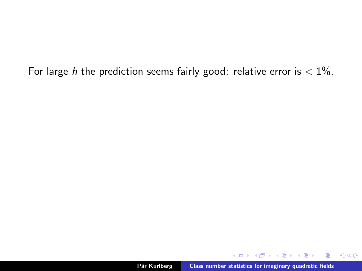For large h the prediction seems fairly good: relative error is  $< 1\%$ .

 $2Q$ 

重

Ξ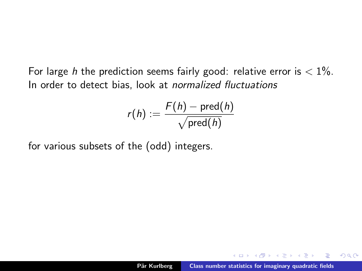For large h the prediction seems fairly good: relative error is  $< 1\%$ . In order to detect bias, look at normalized fluctuations

$$
r(h):=\frac{F(h)-\text{pred}(h)}{\sqrt{\text{pred}(h)}}
$$

for various subsets of the (odd) integers.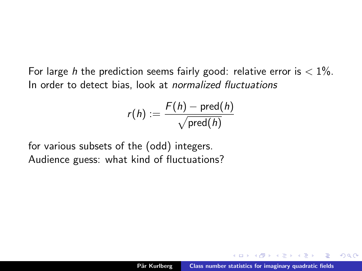For large h the prediction seems fairly good: relative error is  $< 1\%$ . In order to detect bias, look at normalized fluctuations

$$
r(h):=\frac{F(h)-\text{pred}(h)}{\sqrt{\text{pred}(h)}}
$$

for various subsets of the (odd) integers. Audience guess: what kind of fluctuations?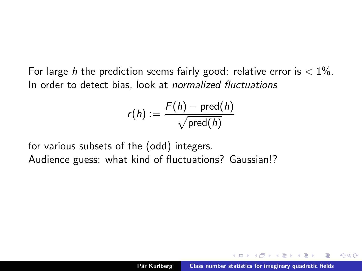For large h the prediction seems fairly good: relative error is  $< 1\%$ . In order to detect bias, look at normalized fluctuations

$$
r(h):=\frac{F(h)-\text{pred}(h)}{\sqrt{\text{pred}(h)}}
$$

for various subsets of the (odd) integers. Audience guess: what kind of fluctuations? Gaussian!?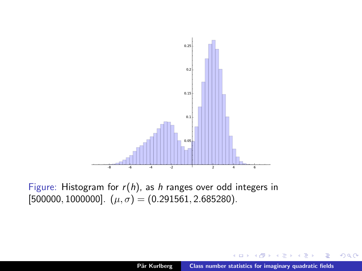

Figure: Histogram for  $r(h)$ , as h ranges over odd integers in [500000, 1000000].  $(\mu, \sigma) = (0.291561, 2.685280)$ .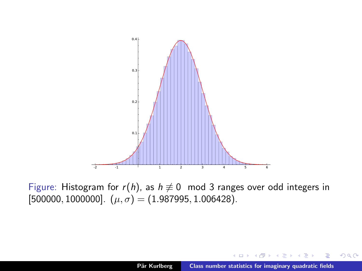

Figure: Histogram for  $r(h)$ , as  $h \neq 0 \mod 3$  ranges over odd integers in [500000, 1000000].  $(\mu, \sigma) = (1.987995, 1.006428)$ .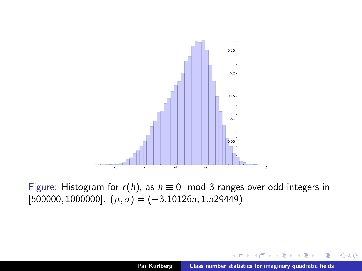

Figure: Histogram for  $r(h)$ , as  $h \equiv 0 \mod 3$  ranges over odd integers in  $[500000, 1000000]$ .  $(\mu, \sigma) = (-3.101265, 1.529449)$ .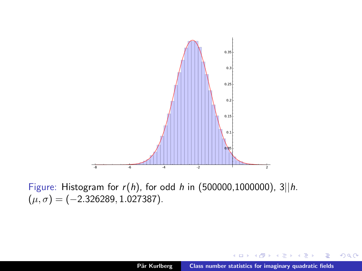

Figure: Histogram for  $r(h)$ , for odd h in (500000,1000000), 3||h.  $(\mu, \sigma) = (-2.326289, 1.027387).$ 

×

重

∍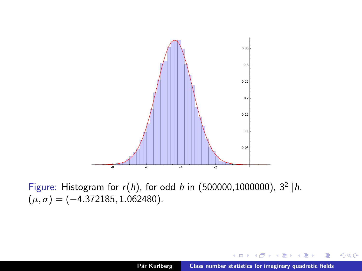<span id="page-65-0"></span>

Figure: Histogram for  $r(h)$ , for odd h in (500000,1000000),  $3^2$ ||h.  $(\mu, \sigma) = (-4.372185, 1.062480).$ 

×

重

重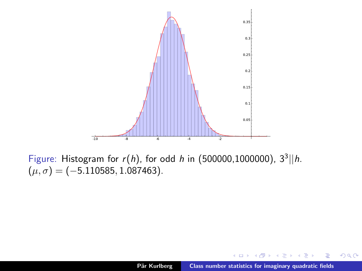<span id="page-66-0"></span>

Figure: Histogram for  $r(h)$ , for odd h in (500000,1000000),  $3^3$ ||h.  $(\mu, \sigma) = (-5.110585, 1.087463).$ 

×

重

∍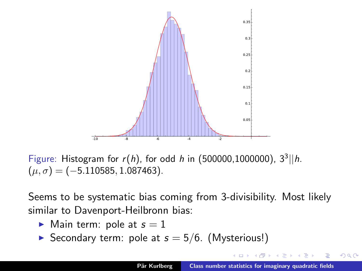<span id="page-67-0"></span>

Figure: Histogram for  $r(h)$ , for odd h in (500000,1000000),  $3^3$ ||h.  $(\mu, \sigma) = (-5.110585, 1.087463).$ 

Seems to be systematic bias coming from 3-divisibility. Most likely similar to Davenport-Heilbronn bias:

- $\blacktriangleright$  Main term: pole at  $s = 1$
- Secondary term: pole at  $s = 5/6$ . (Mysterious!)

つへへ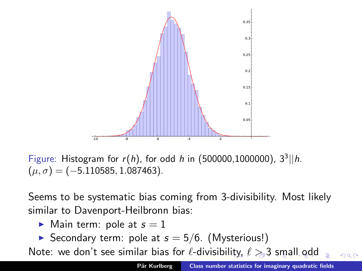<span id="page-68-0"></span>

Figure: Histogram for  $r(h)$ , for odd h in (500000,1000000),  $3^3$ ||h.  $(\mu, \sigma) = (-5.110585, 1.087463).$ 

Seems to be systematic bias coming from 3-divisibility. Most likely similar to Davenport-Heilbronn bias:

- $\blacktriangleright$  Main term: pole at  $s = 1$
- Secondary term: pole at  $s = 5/6$ . (Mysterious!)

Note:we don't see similar bias for  $\ell$ -divisibil[ity](#page-67-0),  $\ell > 3$  $\ell > 3$  $\ell > 3$  $\ell > 3$  [sm](#page-0-0)[al](#page-91-0)[l o](#page-0-0)[dd](#page-91-0)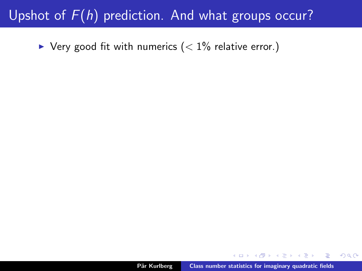### <span id="page-69-0"></span>Upshot of  $F(h)$  prediction. And what groups occur?

 $\blacktriangleright$  Very good fit with numerics ( $\lt 1\%$  relative error.)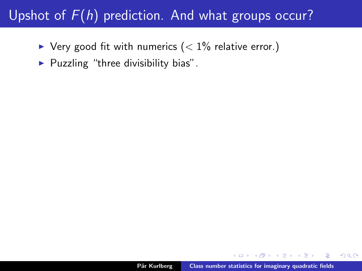# Upshot of  $F(h)$  prediction. And what groups occur?

- $\blacktriangleright$  Very good fit with numerics (< 1% relative error.)
- $\blacktriangleright$  Puzzling "three divisibility bias".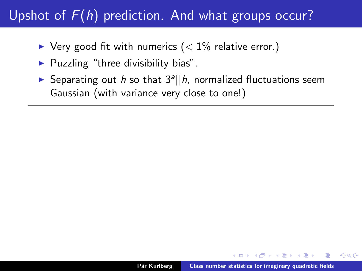# Upshot of  $F(h)$  prediction. And what groups occur?

- $\blacktriangleright$  Very good fit with numerics (< 1% relative error.)
- $\blacktriangleright$  Puzzling "three divisibility bias".
- Separating out h so that  $3^a || h$ , normalized fluctuations seem Gaussian (with variance very close to one!)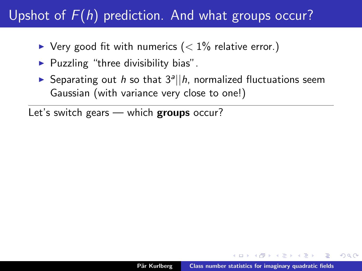- $\blacktriangleright$  Very good fit with numerics ( $\lt 1\%$  relative error.)
- $\blacktriangleright$  Puzzling "three divisibility bias".
- Separating out h so that  $3^a || h$ , normalized fluctuations seem Gaussian (with variance very close to one!)

Let's switch gears — which **groups** occur?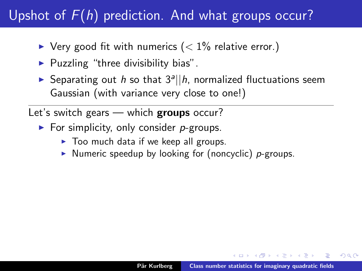- $\blacktriangleright$  Very good fit with numerics (< 1% relative error.)
- $\blacktriangleright$  Puzzling "three divisibility bias".
- Separating out h so that  $3^a || h$ , normalized fluctuations seem Gaussian (with variance very close to one!)

Let's switch gears — which groups occur?

- $\blacktriangleright$  For simplicity, only consider *p*-groups.
	- $\triangleright$  Too much data if we keep all groups.
	- $\triangleright$  Numeric speedup by looking for (noncyclic) p-groups.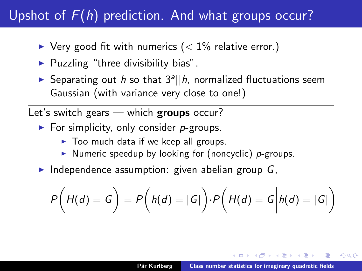- <span id="page-74-0"></span> $\blacktriangleright$  Very good fit with numerics (< 1% relative error.)
- $\blacktriangleright$  Puzzling "three divisibility bias".
- Separating out h so that  $3^a || h$ , normalized fluctuations seem Gaussian (with variance very close to one!)

Let's switch gears — which **groups** occur?

- $\blacktriangleright$  For simplicity, only consider *p*-groups.
	- $\triangleright$  Too much data if we keep all groups.
	- $\triangleright$  Numeric speedup by looking for (noncyclic) p-groups.
- Independence assumption: given abelian group  $G$ ,

$$
P\bigg(H(d) = G\bigg) = P\bigg(h(d) = |G|\bigg) \cdot P\bigg(H(d) = G\bigg|h(d) = |G|\bigg)
$$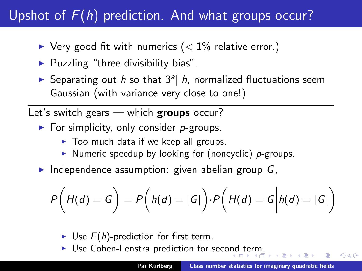- <span id="page-75-0"></span> $\blacktriangleright$  Very good fit with numerics (< 1% relative error.)
- $\blacktriangleright$  Puzzling "three divisibility bias".
- Separating out h so that  $3^a || h$ , normalized fluctuations seem Gaussian (with variance very close to one!)

Let's switch gears - which groups occur?

- For simplicity, only consider  $p$ -groups.
	- $\triangleright$  Too much data if we keep all groups.
	- $\triangleright$  Numeric speedup by looking for (noncyclic) p-groups.
- Independence assumption: given abelian group  $G$ ,

$$
P\bigg(H(d) = G\bigg) = P\bigg(h(d) = |G|\bigg) \cdot P\bigg(H(d) = G\bigg|h(d) = |G|\bigg)
$$

- $\triangleright$  Use  $F(h)$ -prediction for first term.
- $\triangleright$  $\triangleright$  $\triangleright$  Use Cohen-Lenstra prediction for seco[nd](#page-74-0) [te](#page-76-0)r[m](#page-69-0)[.](#page-75-0)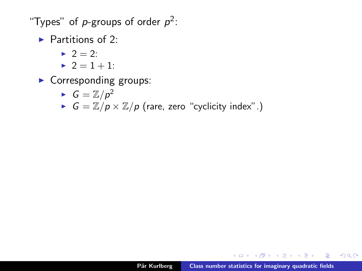<span id="page-76-0"></span>"Types" of  $p$ -groups of order  $p^2$ :

 $\blacktriangleright$  Partitions of 2:

- $2^2 = 2^2$
- $2 = 1 + 1$ :
- $\blacktriangleright$  Corresponding groups:

$$
\blacktriangleright \ G=\mathbb{Z}/p^2
$$

 $G = \mathbb{Z}/p \times \mathbb{Z}/p$  (rare, zero "cyclicity index".)

A + + = +

 $\equiv$  $\Omega$ 

na ⊞is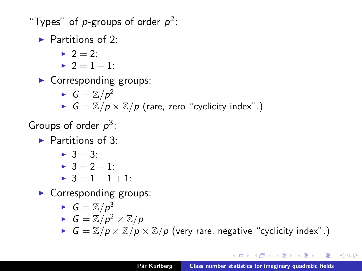"Types" of  $p$ -groups of order  $p^2$ :

 $\blacktriangleright$  Partitions of 2:

- $\blacktriangleright$  2 = 2:
- $2 = 1 + 1$ :

 $\blacktriangleright$  Corresponding groups:

\n- $$
G = \mathbb{Z}/p^2
$$
\n- $G = \mathbb{Z}/p \times \mathbb{Z}/p$  (rare, zero "cyclicity index".)
\n

Groups of order  $p^3$ :

 $\blacktriangleright$  Partitions of 3:

$$
\blacktriangleright 3 = 3:
$$

$$
\blacktriangleright 3 = 2 + 1:
$$

 $\geq 3 = 1 + 1 + 1$ :

 $\blacktriangleright$  Corresponding groups:

$$
\blacktriangleright \ \ G = \mathbb{Z}/p^3
$$

$$
\blacktriangleright G = \mathbb{Z}/p^2 \times \mathbb{Z}/p
$$

 $G = \mathbb{Z}/p \times \mathbb{Z}/p \times \mathbb{Z}/p$  (very rare, negative "cyclicity index".)

 $\Omega$ 

重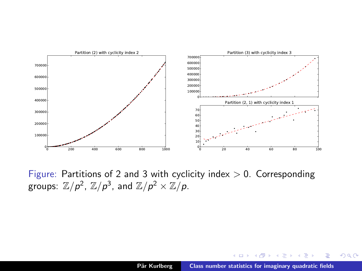

Figure: Partitions of 2 and 3 with cyclicity index  $> 0$ . Corresponding groups:  $\mathbb{Z}/p^2$ ,  $\mathbb{Z}/p^3$ , and  $\mathbb{Z}/p^2 \times \mathbb{Z}/p$ .

K 御 ▶ K 君 ▶ K 君 ▶

 $\equiv$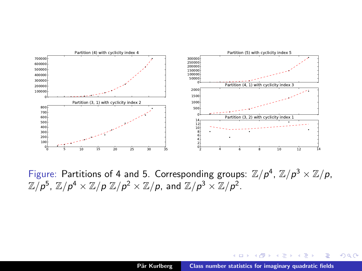

Figure: Partitions of 4 and 5. Corresponding groups:  $\mathbb{Z}/p^4$ ,  $\mathbb{Z}/p^3 \times \mathbb{Z}/p$ ,  $\mathbb{Z}/p^5$ ,  $\mathbb{Z}/p^4 \times \mathbb{Z}/p$   $\mathbb{Z}/p^2 \times \mathbb{Z}/p$ , and  $\mathbb{Z}/p^3 \times \mathbb{Z}/p^2$ .

メタメメ ミメメ ミメー き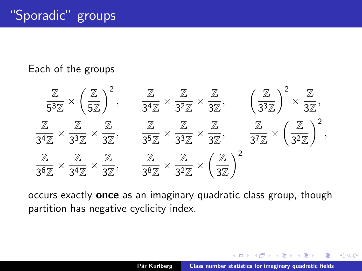#### <span id="page-80-0"></span>Each of the groups



occurs exactly once as an imaginary quadratic class group, though partition has negative cyclicity index.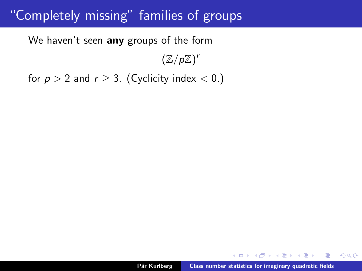<span id="page-81-0"></span>We haven't seen any groups of the form

 $(\mathbb{Z}/p\mathbb{Z})^r$ 

for  $p > 2$  and  $r \geq 3$ . (Cyclicity index < 0.)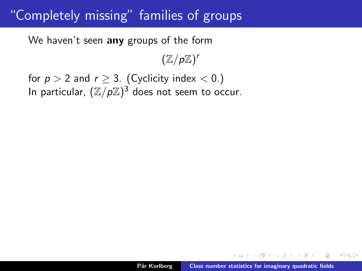We haven't seen any groups of the form

 $(\mathbb{Z}/p\mathbb{Z})^r$ 

for  $p > 2$  and  $r \geq 3$ . (Cyclicity index < 0.) In particular,  $(\mathbb{Z}/p\mathbb{Z})^3$  does not seem to occur.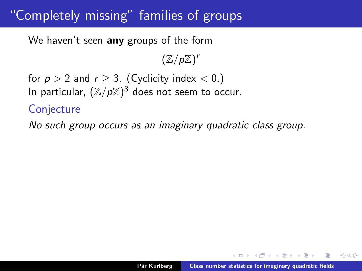We haven't seen any groups of the form

 $(\mathbb{Z}/p\mathbb{Z})^r$ 

for  $p > 2$  and  $r \geq 3$ . (Cyclicity index  $< 0$ .) In particular,  $(\mathbb{Z}/p\mathbb{Z})^3$  does not seem to occur.

**Conjecture** 

No such group occurs as an imaginary quadratic class group.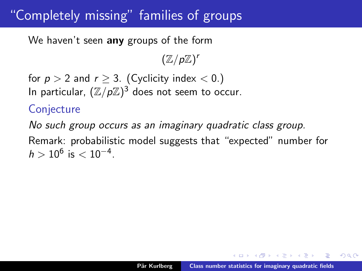<span id="page-84-0"></span>We haven't seen any groups of the form

 $(\mathbb{Z}/p\mathbb{Z})^r$ 

for  $p > 2$  and  $r \geq 3$ . (Cyclicity index  $< 0$ .) In particular,  $(\mathbb{Z}/p\mathbb{Z})^3$  does not seem to occur.

#### **Conjecture**

No such group occurs as an imaginary quadratic class group. Remark: probabilistic model suggests that "expected" number for  $h > 10^6$  is  $< 10^{-4}$ .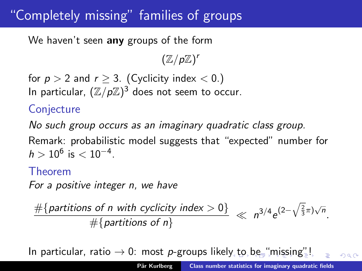<span id="page-85-0"></span>We haven't seen any groups of the form

 $(\mathbb{Z}/p\mathbb{Z})^r$ 

for  $p > 2$  and  $r \geq 3$ . (Cyclicity index  $< 0$ .) In particular,  $(\mathbb{Z}/p\mathbb{Z})^3$  does not seem to occur.

#### **Conjecture**

No such group occurs as an imaginary quadratic class group.

Remark: probabilistic model suggests that "expected" number for  $h > 10^6$  is  $< 10^{-4}$ .

#### Theorem

For a positive integer n, we have

 $\frac{\#{partitions of n with cyclicity index > 0}}{\#{maximize of n}} \ll n^{3/4}e^{(2-\sqrt{\frac{2}{3}}\pi)\sqrt{n}}.$  $#$ {partitions of n}

In particular, rati[o](#page-86-0)  $\rightarrow 0$ : most p-groups likel[y t](#page-84-0)o [b](#page-80-0)[e](#page-81-0) ["](#page-85-0)[mis](#page-0-0)[sin](#page-91-0)[g"](#page-0-0)[!](#page-91-0)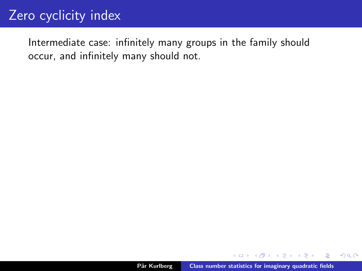<span id="page-86-0"></span>Intermediate case: infinitely many groups in the family should occur, and infinitely many should not.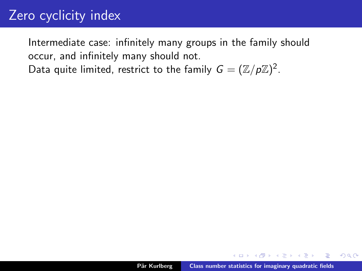Intermediate case: infinitely many groups in the family should occur, and infinitely many should not.

Data quite limited, restrict to the family  $G = (\mathbb{Z}/p\mathbb{Z})^2$ .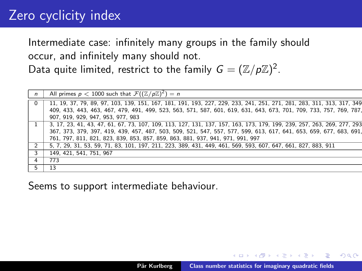Intermediate case: infinitely many groups in the family should occur, and infinitely many should not.

Data quite limited, restrict to the family  $G = (\mathbb{Z}/p\mathbb{Z})^2$ .

| $\mathsf{n}$   | All primes $p < 1000$ such that $\mathcal{F}((\mathbb{Z}/p\mathbb{Z})^2) = n$                                          |
|----------------|------------------------------------------------------------------------------------------------------------------------|
|                | 11, 19, 37, 79, 89, 97, 103, 139, 151, 167, 181, 191, 193, 227, 229, 233, 241, 251, 271, 281, 283, 311, 313, 317, 349  |
|                | 409, 433, 443, 463, 467, 479, 491, 499, 523, 563, 571, 587, 601, 619, 631, 643, 673, 701, 709, 733, 757, 769, 787,     |
|                | 907. 919. 929. 947. 953. 977. 983                                                                                      |
|                | 3, 17, 23, 41, 43, 47, 61, 67, 73, 107, 109, 113, 127, 131, 137, 157, 163, 173, 179, 199, 239, 257, 263, 269, 277, 293 |
|                | 367, 373, 379, 397, 419, 439, 457, 487, 503, 509, 521, 547, 557, 577, 599, 613, 617, 641, 653, 659, 677, 683, 691,     |
|                | 761, 797, 811, 821, 823, 839, 853, 857, 859, 863, 881, 937, 941, 971, 991, 997                                         |
| $\overline{2}$ | 5, 7, 29, 31, 53, 59, 71, 83, 101, 197, 211, 223, 389, 431, 449, 461, 569, 593, 607, 647, 661, 827, 883, 911           |
| 3              | 149, 421, 541, 751, 967                                                                                                |
| 4              | 773                                                                                                                    |
|                | 13                                                                                                                     |
|                |                                                                                                                        |

Seems to support intermediate behaviour.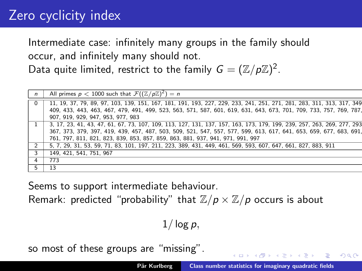Intermediate case: infinitely many groups in the family should occur, and infinitely many should not.

Data quite limited, restrict to the family  $G = (\mathbb{Z}/p\mathbb{Z})^2$ .

| All primes $p < 1000$ such that $\mathcal{F}((\mathbb{Z}/p\mathbb{Z})^2) = n$<br>$\mathsf{n}$<br>$\Omega$<br>907. 919. 929. 947. 953. 977. 983<br>761, 797, 811, 821, 823, 839, 853, 857, 859, 863, 881, 937, 941, 971, 991, 997<br>5, 7, 29, 31, 53, 59, 71, 83, 101, 197, 211, 223, 389, 431, 449, 461, 569, 593, 607, 647, 661, 827, 883, 911<br>2<br>149, 421, 541, 751, 967<br>3<br>773<br>4<br>13 |                                                                                                                        |
|---------------------------------------------------------------------------------------------------------------------------------------------------------------------------------------------------------------------------------------------------------------------------------------------------------------------------------------------------------------------------------------------------------|------------------------------------------------------------------------------------------------------------------------|
|                                                                                                                                                                                                                                                                                                                                                                                                         |                                                                                                                        |
|                                                                                                                                                                                                                                                                                                                                                                                                         | 11, 19, 37, 79, 89, 97, 103, 139, 151, 167, 181, 191, 193, 227, 229, 233, 241, 251, 271, 281, 283, 311, 313, 317, 349  |
|                                                                                                                                                                                                                                                                                                                                                                                                         | 409, 433, 443, 463, 467, 479, 491, 499, 523, 563, 571, 587, 601, 619, 631, 643, 673, 701, 709, 733, 757, 769, 787,     |
|                                                                                                                                                                                                                                                                                                                                                                                                         |                                                                                                                        |
|                                                                                                                                                                                                                                                                                                                                                                                                         | 3, 17, 23, 41, 43, 47, 61, 67, 73, 107, 109, 113, 127, 131, 137, 157, 163, 173, 179, 199, 239, 257, 263, 269, 277, 293 |
|                                                                                                                                                                                                                                                                                                                                                                                                         | 367, 373, 379, 397, 419, 439, 457, 487, 503, 509, 521, 547, 557, 577, 599, 613, 617, 641, 653, 659, 677, 683, 691,     |
|                                                                                                                                                                                                                                                                                                                                                                                                         |                                                                                                                        |
|                                                                                                                                                                                                                                                                                                                                                                                                         |                                                                                                                        |
|                                                                                                                                                                                                                                                                                                                                                                                                         |                                                                                                                        |
|                                                                                                                                                                                                                                                                                                                                                                                                         |                                                                                                                        |
|                                                                                                                                                                                                                                                                                                                                                                                                         |                                                                                                                        |

Seems to support intermediate behaviour.

Remark: predicted "probability" that  $\mathbb{Z}/p \times \mathbb{Z}/p$  occurs is about

 $1/\log p$ ,

so most of these groups are "missing".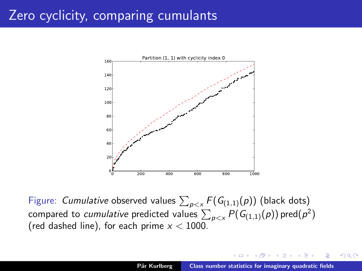# Zero cyclicity, comparing cumulants



Figure: Cumulative observed values  $\sum_{p < x} F(G_{(1,1)}(p))$  (black dots) compared to *cumulative* predicted values  $\sum_{\bm p < \times} P(G_{(1,1)}(\bm p))$  pred $(\bm p^2)$ (red dashed line), for each prime  $x < 1000$ .